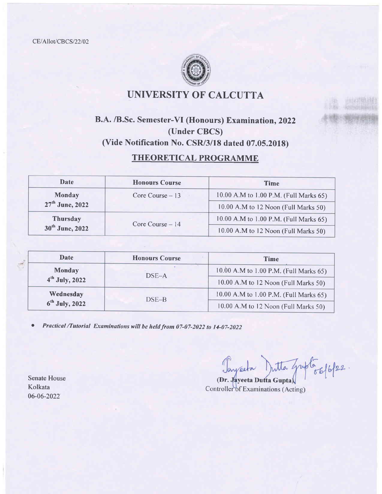CE/Allot/CBCS/22/02



## UNIVERSITY OF CALCUTTA

### B.A. /B.Sc. Semester-Vl (Honours) Examination, 2022 (Under CBCS) (Vide Notification No. CSR/3/18 dated 07.05.2018)

### THEORETICAL PROGRAMME

| <b>Date</b>                 | <b>Honours Course</b> | <b>Time</b>                            |
|-----------------------------|-----------------------|----------------------------------------|
| <b>Monday</b>               | Core Course $-13$     | 10.00 A.M to 1.00 P.M. (Full Marks 65) |
| 27 <sup>th</sup> June, 2022 |                       | 10.00 A.M to 12 Noon (Full Marks 50)   |
| <b>Thursday</b>             | Core Course - 14      | 10.00 A.M to 1.00 P.M. (Full Marks 65) |
| 30 <sup>th</sup> June, 2022 |                       | 10.00 A.M to 12 Noon (Full Marks 50)   |

|  | Date             | <b>Honours Course</b> | <b>Time</b>                            |
|--|------------------|-----------------------|----------------------------------------|
|  | <b>Monday</b>    | $DSE-A$               | 10.00 A.M to 1.00 P.M. (Full Marks 65) |
|  | $4th$ July, 2022 |                       | 10.00 A.M to 12 Noon (Full Marks 50)   |
|  | Wednesday        | DSE-B                 | 10.00 A.M to 1.00 P.M. (Full Marks 65) |
|  | $6th$ July, 2022 |                       | 10.00 A.M to 12 Noon (Full Marks 50)   |

• Practical /Tutorial Examinations will be held from 07-07-2022 to 14-07-2022

Senate House Kolkata 06-06-2022

Tayacta Dutta Gripto 66/6/22. (Dr. Jayceta Dutta Gupta)

Controller of Examinations (Acting)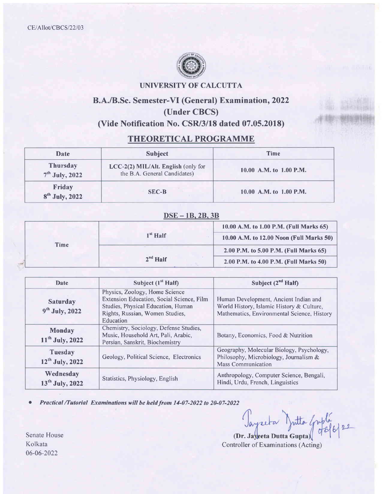

#### UNIVERSITY OF CALCUTTA

### B.A./B.Sc. Semester-Vl (General) Examination, 2022 (Under CBCS) (Vide Notification No. CSR/3/18 dated 07.05.2018)

#### THEORETICAL PROGRAMME

| Date                                | <b>Subject</b>                                                      | Time                    |
|-------------------------------------|---------------------------------------------------------------------|-------------------------|
| <b>Thursday</b><br>$7th$ July, 2022 | LCC-2(2) MIL/Alt. English (only for<br>the B.A. General Candidates) | 10.00 A.M. to 1.00 P.M. |
| Friday<br>$8th$ July, 2022          | <b>SEC-B</b>                                                        | 10.00 A.M. to 1.00 P.M. |

#### DSE - 1B, 2B, 3B

|      |            | 10.00 A.M. to 1.00 P.M. (Full Marks 65)  |
|------|------------|------------------------------------------|
|      | $1st$ Half | 10.00 A.M. to 12.00 Noon (Full Marks 50) |
| Time |            | 2.00 P.M. to 5.00 P.M. (Full Marks 65)   |
|      | $2nd$ Half | 2.00 P.M. to 4.00 P.M. (Full Marks 50)   |

| Date                                                                        | Subject $(1st Half)$                                                                                                                                              | Subject $(2^{nd}$ Half)                                                                                                           |
|-----------------------------------------------------------------------------|-------------------------------------------------------------------------------------------------------------------------------------------------------------------|-----------------------------------------------------------------------------------------------------------------------------------|
| <b>Saturday</b><br>$9th$ July, 2022                                         | Physics, Zoology, Home Science<br>Extension Education, Social Science, Film<br>Studies, Physical Education, Human<br>Rights, Russian, Women Studies,<br>Education | Human Development, Ancient Indian and<br>World History, Islamic History & Culture,<br>Mathematics, Environmental Science, History |
| <b>Monday</b><br>11 <sup>th</sup> July, 2022                                | Chemistry, Sociology, Defense Studies,<br>Music, Household Art, Pali, Arabic,<br>Persian, Sanskrit, Biochemistry                                                  | Botany, Economics, Food & Nutrition                                                                                               |
| Tuesday<br>Geology, Political Science, Electronics<br>$12^{th}$ July, 2022  |                                                                                                                                                                   | Geography, Molecular Biology, Psychology,<br>Philosophy, Microbiology, Journalism &<br><b>Mass Communication</b>                  |
| Wednesday<br>Statistics, Physiology, English<br>13 <sup>th</sup> July, 2022 | Anthropology, Computer Science, Bengali,<br>Hindi, Urdu, French, Linguistics                                                                                      |                                                                                                                                   |

o Pructicul /Tutorial Examinations will be held from 14-07-2022 to 20-07-2022

Jayreta Jutta Griple 122

(Dr. Jayceta Dutta Gupta) Controller of Examinations (Acting)

Senate House Kolkata 06-06-2022